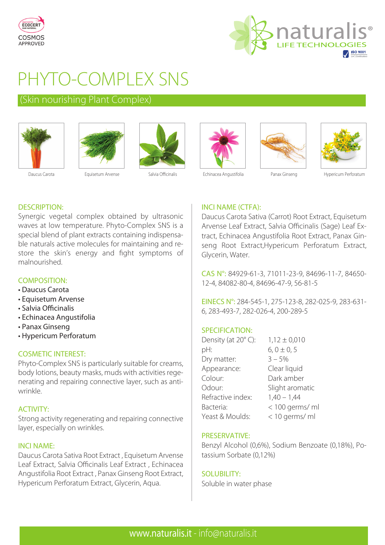



# PHYTO-COMPLEX SNS

# (Skin nourishing Plant Complex)













Daucus Carota **Equisetum Arvense** Salvia Officinalis Echinacea Angustifolia Panax Ginseng Hypericum Perforatum

# **INCI NAME (CTFA):**

Daucus Carota Sativa (Carrot) Root Extract, Equisetum Arvense Leaf Extract, Salvia Officinalis (Sage) Leaf Extract, Echinacea Angustifolia Root Extract, Panax Ginseng Root Extract,Hypericum Perforatum Extract, Glycerin, Water.

CAS N°: 84929-61-3, 71011-23-9, 84696-11-7, 84650- 12-4, 84082-80-4, 84696-47-9, 56-81-5

EINECS N°: 284-545-1, 275-123-8, 282-025-9, 283-631- 6, 283-493-7, 282-026-4, 200-289-5

# SPECIFICATION:

| Density (at 20°C): | $1,12 \pm 0,010$ |
|--------------------|------------------|
| pH:                | $6, 0 \pm 0, 5$  |
| Dry matter:        | $3 - 5%$         |
| Appearance:        | Clear liquid     |
| Colour:            | Dark amber       |
| Odour:             | Slight aromatic  |
| Refractive index:  | $1,40 - 1,44$    |
| Bacteria:          | < 100 germs/ ml  |
| Yeast & Moulds:    | < 10 germs/ ml   |

### **PRESERVATIVE:**

Benzyl Alcohol (0,6%), Sodium Benzoate (0,18%), Potassium Sorbate (0,12%)

### SOLUBILITY:

Soluble in water phase

### **DESCRIPTION:**

Synergic vegetal complex obtained by ultrasonic waves at low temperature. Phyto-Complex SNS is a special blend of plant extracts containing indispensable naturals active molecules for maintaining and restore the skin's energy and fight symptoms of malnourished.

### **COMPOSITION:**

- Daucus Carota
- Equisetum Arvense
- Salvia Officinalis
- Echinacea Angustifolia
- Panax Ginseng
- Hypericum Perforatum • Hypericum Perforatum

### **COSMETIC INTEREST:**

Phyto-Complex SNS is particularly suitable for creams, body lotions, beauty masks, muds with activities regenerating and repairing connective layer, such as antiwrinkle.

# **ACTIVITY:**

ACTIVITY: Strong activity regenerating and repairing connective layer, especially on wrinkles.

Daucus Carota Sativa Root Extract, Equisetum Arvense Leaf Extract, Salvia Officinalis Leaf Extract , Echinacea Angustifolia Root Extract , Panax Ginseng Root Extract, Hypericum Perforatum Extract, Glycerin, Aqua.